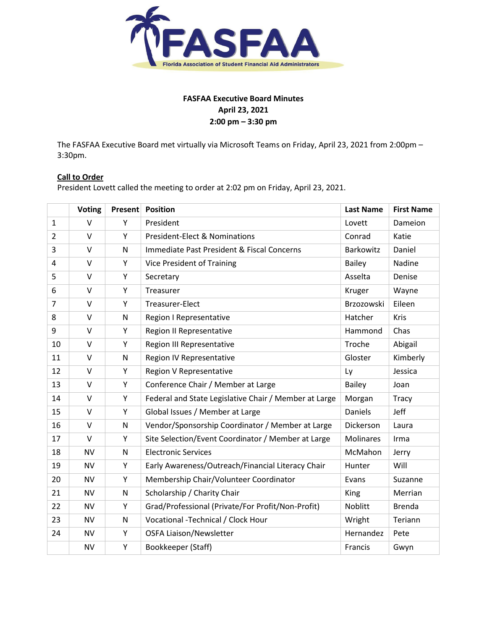

# **FASFAA Executive Board Minutes April 23, 2021 2:00 pm – 3:30 pm**

The FASFAA Executive Board met virtually via Microsoft Teams on Friday, April 23, 2021 from 2:00pm – 3:30pm.

# **Call to Order**

President Lovett called the meeting to order at 2:02 pm on Friday, April 23, 2021.

|                | <b>Voting</b> | Present | <b>Position</b>                                       | <b>Last Name</b> | <b>First Name</b> |
|----------------|---------------|---------|-------------------------------------------------------|------------------|-------------------|
| $\mathbf{1}$   | $\vee$        | Y       | President                                             | Lovett           | Dameion           |
| $\overline{2}$ | $\vee$        | Y       | <b>President-Elect &amp; Nominations</b>              | Conrad           | Katie             |
| 3              | $\vee$        | N       | Immediate Past President & Fiscal Concerns            | Barkowitz        | Daniel            |
| 4              | $\vee$        | Y       | <b>Vice President of Training</b>                     | <b>Bailey</b>    | Nadine            |
| 5              | $\vee$        | Y       | Secretary                                             | Asselta          | Denise            |
| 6              | $\vee$        | Υ       | Treasurer                                             | Kruger           | Wayne             |
| $\overline{7}$ | $\vee$        | Y       | Treasurer-Elect                                       | Brzozowski       | Eileen            |
| 8              | V             | N       | Region I Representative                               | Hatcher          | Kris              |
| 9              | $\vee$        | Υ       | Region II Representative                              | Hammond          | Chas              |
| 10             | $\vee$        | Υ       | <b>Region III Representative</b>                      | Troche           | Abigail           |
| 11             | $\vee$        | N       | Region IV Representative                              | Gloster          | Kimberly          |
| 12             | $\vee$        | Y       | Region V Representative                               | Ly               | Jessica           |
| 13             | $\vee$        | Υ       | Conference Chair / Member at Large                    | <b>Bailey</b>    | Joan              |
| 14             | $\vee$        | Υ       | Federal and State Legislative Chair / Member at Large | Morgan           | Tracy             |
| 15             | $\vee$        | Υ       | Global Issues / Member at Large                       | <b>Daniels</b>   | Jeff              |
| 16             | $\vee$        | N       | Vendor/Sponsorship Coordinator / Member at Large      | Dickerson        | Laura             |
| 17             | V             | Υ       | Site Selection/Event Coordinator / Member at Large    | <b>Molinares</b> | Irma              |
| 18             | <b>NV</b>     | N       | <b>Electronic Services</b>                            | McMahon          | Jerry             |
| 19             | <b>NV</b>     | Υ       | Early Awareness/Outreach/Financial Literacy Chair     | Hunter           | Will              |
| 20             | <b>NV</b>     | Y       | Membership Chair/Volunteer Coordinator                | Evans            | Suzanne           |
| 21             | <b>NV</b>     | N       | Scholarship / Charity Chair                           | King             | Merrian           |
| 22             | <b>NV</b>     | Y       | Grad/Professional (Private/For Profit/Non-Profit)     | Noblitt          | <b>Brenda</b>     |
| 23             | <b>NV</b>     | N       | Vocational -Technical / Clock Hour                    | Wright           | Teriann           |
| 24             | <b>NV</b>     | Υ       | <b>OSFA Liaison/Newsletter</b>                        | Hernandez        | Pete              |
|                | <b>NV</b>     | Υ       | Bookkeeper (Staff)                                    | Francis          | Gwyn              |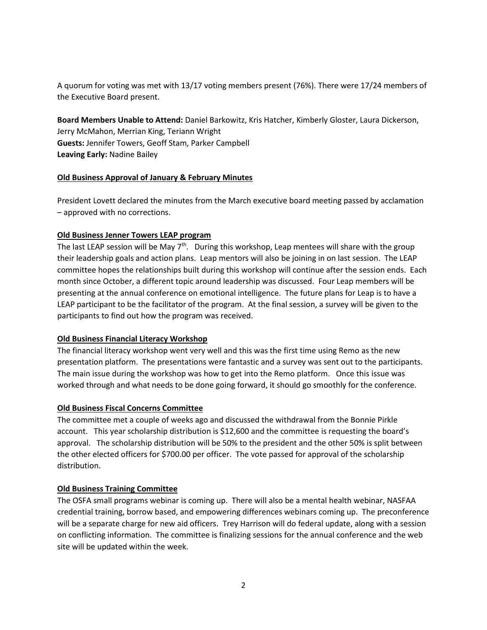A quorum for voting was met with 13/17 voting members present (76%). There were 17/24 members of the Executive Board present.

**Board Members Unable to Attend:** Daniel Barkowitz, Kris Hatcher, Kimberly Gloster, Laura Dickerson, Jerry McMahon, Merrian King, Teriann Wright **Guests:** Jennifer Towers, Geoff Stam, Parker Campbell **Leaving Early:** Nadine Bailey

### **Old Business Approval of January & February Minutes**

President Lovett declared the minutes from the March executive board meeting passed by acclamation – approved with no corrections.

#### **Old Business Jenner Towers LEAP program**

The last LEAP session will be May  $7<sup>th</sup>$ . During this workshop, Leap mentees will share with the group their leadership goals and action plans. Leap mentors will also be joining in on last session. The LEAP committee hopes the relationships built during this workshop will continue after the session ends. Each month since October, a different topic around leadership was discussed. Four Leap members will be presenting at the annual conference on emotional intelligence. The future plans for Leap is to have a LEAP participant to be the facilitator of the program. At the final session, a survey will be given to the participants to find out how the program was received.

### **Old Business Financial Literacy Workshop**

The financial literacy workshop went very well and this was the first time using Remo as the new presentation platform. The presentations were fantastic and a survey was sent out to the participants. The main issue during the workshop was how to get into the Remo platform. Once this issue was worked through and what needs to be done going forward, it should go smoothly for the conference.

### **Old Business Fiscal Concerns Committee**

The committee met a couple of weeks ago and discussed the withdrawal from the Bonnie Pirkle account. This year scholarship distribution is \$12,600 and the committee is requesting the board's approval. The scholarship distribution will be 50% to the president and the other 50% is split between the other elected officers for \$700.00 per officer. The vote passed for approval of the scholarship distribution.

#### **Old Business Training Committee**

The OSFA small programs webinar is coming up. There will also be a mental health webinar, NASFAA credential training, borrow based, and empowering differences webinars coming up. The preconference will be a separate charge for new aid officers. Trey Harrison will do federal update, along with a session on conflicting information. The committee is finalizing sessions for the annual conference and the web site will be updated within the week.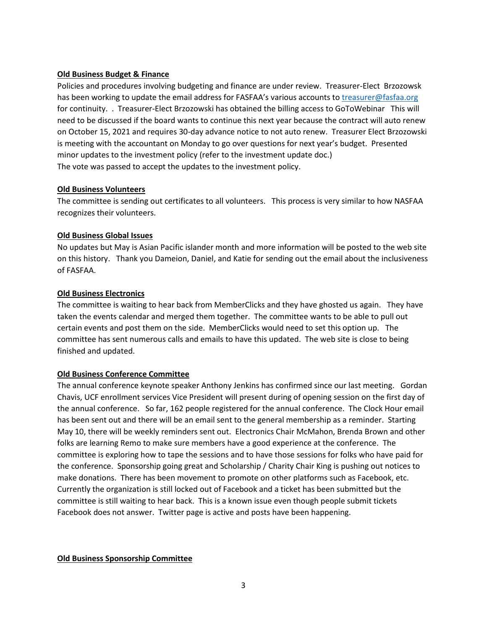### **Old Business Budget & Finance**

Policies and procedures involving budgeting and finance are under review. Treasurer-Elect Brzozowsk has been working to update the email address for FASFAA's various accounts to [treasurer@fasfaa.org](mailto:treasurer@fasfaa.org) for continuity. . Treasurer-Elect Brzozowski has obtained the billing access to GoToWebinar This will need to be discussed if the board wants to continue this next year because the contract will auto renew on October 15, 2021 and requires 30-day advance notice to not auto renew. Treasurer Elect Brzozowski is meeting with the accountant on Monday to go over questions for next year's budget. Presented minor updates to the investment policy (refer to the investment update doc.) The vote was passed to accept the updates to the investment policy.

### **Old Business Volunteers**

The committee is sending out certificates to all volunteers. This process is very similar to how NASFAA recognizes their volunteers.

### **Old Business Global Issues**

No updates but May is Asian Pacific islander month and more information will be posted to the web site on this history. Thank you Dameion, Daniel, and Katie for sending out the email about the inclusiveness of FASFAA.

#### **Old Business Electronics**

The committee is waiting to hear back from MemberClicks and they have ghosted us again. They have taken the events calendar and merged them together. The committee wants to be able to pull out certain events and post them on the side. MemberClicks would need to set this option up. The committee has sent numerous calls and emails to have this updated. The web site is close to being finished and updated.

### **Old Business Conference Committee**

The annual conference keynote speaker Anthony Jenkins has confirmed since our last meeting. Gordan Chavis, UCF enrollment services Vice President will present during of opening session on the first day of the annual conference. So far, 162 people registered for the annual conference. The Clock Hour email has been sent out and there will be an email sent to the general membership as a reminder. Starting May 10, there will be weekly reminders sent out. Electronics Chair McMahon, Brenda Brown and other folks are learning Remo to make sure members have a good experience at the conference. The committee is exploring how to tape the sessions and to have those sessions for folks who have paid for the conference. Sponsorship going great and Scholarship / Charity Chair King is pushing out notices to make donations. There has been movement to promote on other platforms such as Facebook, etc. Currently the organization is still locked out of Facebook and a ticket has been submitted but the committee is still waiting to hear back. This is a known issue even though people submit tickets Facebook does not answer. Twitter page is active and posts have been happening.

#### **Old Business Sponsorship Committee**